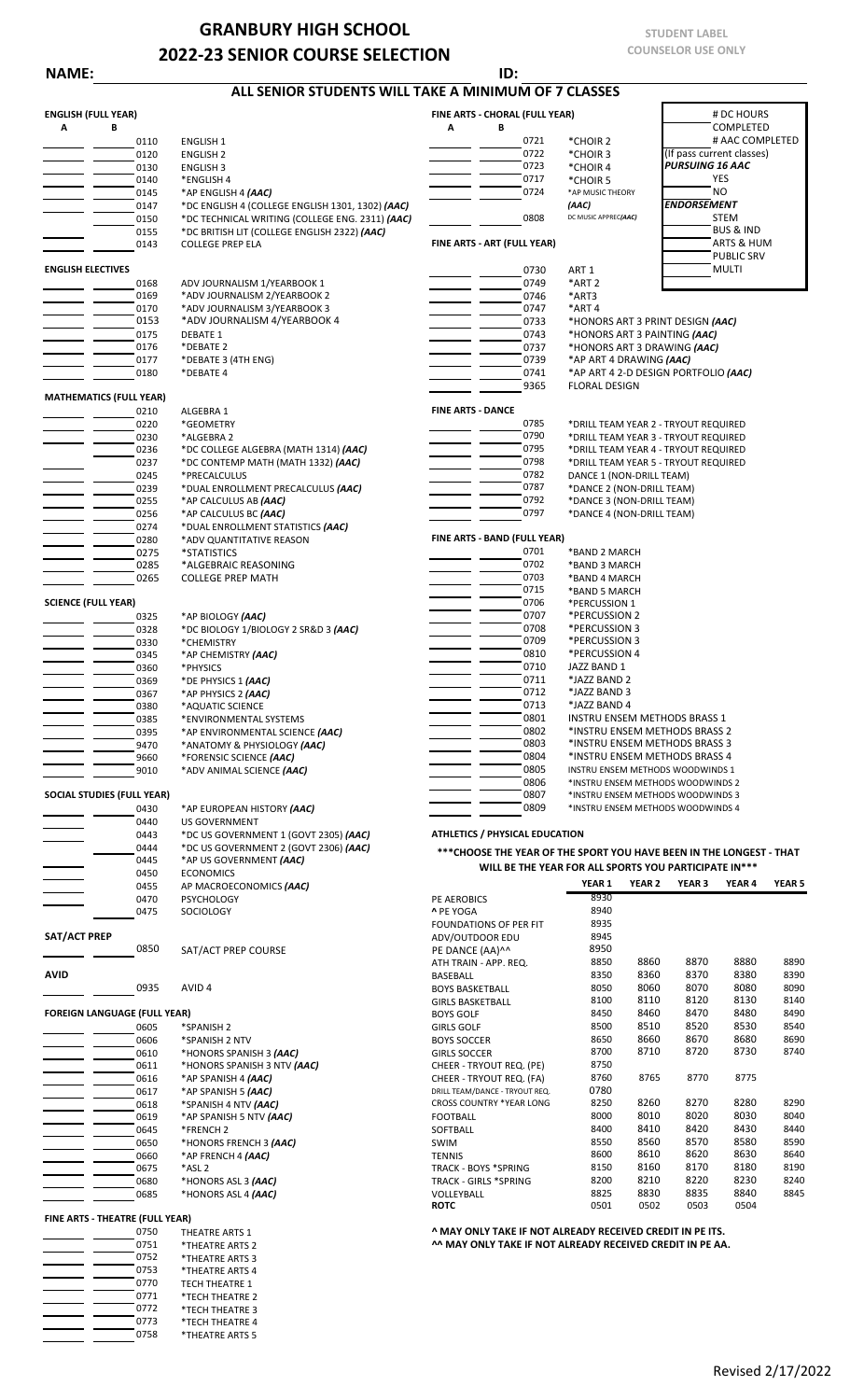## **GRANBURY HIGH SCHOOL 2022-23 SENIOR COURSE SELECTION**

**NAME: ID:**

0773 \*TECH THEATRE 4<br>0758 \*THEATRE ARTS 5 0758 \*THEATRE ARTS 5

## **ENGLISH (FULL YEAR) FINE ARTS - CHORAL (FULL YEAR)** # DC HOURS **A B A B** COMPLETED 0110 ENGLISH 1 0721 \*CHOIR 2 # AAC COMPLETED 0120 ENGLISH 2 0722 \*CHOIR 3 (If pass current classes) 0130 ENGLISH 3 0723 \*CHOIR 4 *PURSUING 16 AAC* 0140 \*ENGLISH 4 YES 0145 \*AP ENGLISH 4 **(AAC)**<br>0147 \*DC ENGLISH 4 (COLLEGE ENGLISH 1301, 1302) **(AAC) COLLEGE 11 (AAC) CAAC) CAAC** 0147 \*DC ENGLISH 4 (COLLEGE ENGLISH 1301, 1302) *(AAC)* **FRIDORSEMENT**<br>150 \*DC TECHNICAL WRITING (COLLEGE ENG. 2311) *(AAC)* 0808 <sup>DC MUSIC APPREC(AAC)</sup> STEM \*DC TECHNICAL WRITING (COLLEGE ENG. 2311) *(AAC)* 2008 DC MUSIC APPREC*(AAC)* STEM
STER BUS & IND
STEM
STER BRITISH IIT (COLLEGE ENGLISH 2322) *(AAC)* 0155 \*DC BRITISH LIT (COLLEGE ENGLISH 2322) *(AAC)* **BUS & IND**<br>0143 COLLEGE PREP ELA BUS & HUM **FINE ARTS - ART (FULL YEAR)** BUS & HOM **ARTS & HUM** 0143 COLLEGE PREP ELA **FINE ARTS - ART (FULL YEAR)** PUBLIC SRV **ENGLISH ELECTIVES** MULTINUM AND THE SET OF A SET OF A SET OF A SET OF A SET OF A SET OF A SET OF A SET OF A SET OF A SET OF A SET OF A SET OF A SET OF A SET OF A SET OF A SET OF A SET OF A SET OF A SET OF A SET OF A SET O 0168 ADV JOURNALISM 1/YEARBOOK 1 0169 \*ART 2<br>0169 \*ADV JOURNALISM 2/YEARBOOK 2 0169 \*ADV JOURNALISM 2/YEARBOOK 2<br>0170 \*ADV JOURNALISM 3/YEARBOOK 3 0170 \*ADV JOURNALISM 3/YEARBOOK 3<br>
0153 \*ADV JOURNALISM 4/YEARBOOK 4<br>
0733 0153 \*ADV JOURNALISM 4/YEARBOOK 4 0733 \*HONORS ART 3 PRINT DESIGN *(AAC)* 0175 DEBATE 1 0743 \*HONORS ART 3 PAINTING *(AAC)* 0176 \*DEBATE 2 0737 \*HONORS ART 3 DRAWING *(AAC)* 0177 \*DEBATE 3 (4TH ENG) **0179 \***AP ART 4 DRAWING *(AAC)*<br>0180 \*DEBATE 4 \*DEBATE 4 0741 \*AP ART 4 2-D DESIGN PORTFOLIO *(AAC)*<br>9365 FLORAL DESIGN **FLORAL DESIGN MATHEMATICS (FULL YEAR)**<br>0210 ALGEBRA 1 **FINE ARTS - DANCE**<br>\*GEOMETRY **FINE ARTS - DANCE** 0220 \*GEOMETRY 0785 \*DRILL TEAM YEAR 2 - TRYOUT REQUIRED 0230 \*ALGEBRA 2 0790 \*DRILL TEAM YEAR 3 - TRYOUT REQUIRED 0236 \*DC COLLEGE ALGEBRA (MATH 1314) *(AAC)* 0795 \*DRILL TEAM YEAR 4 - TRYOUT REQUIRED<br>0237 \*DC CONTEMP MATH (MATH 1332) *(AAC)* 0798 \*DRILL TEAM YEAR 4 - TRYOUT REQUIRED 0237 \*DC CONTEMP MATH (MATH 1332) *(AAC)* **120 CONTEMP MATH (MATH 1332)** *(AAC)* **120 CONTEMP 120 CONTEMP 1382** 0245 \*PRECALCULUS 0782 DANCE 1 (NON-DRILL TEAM) \*DUAL ENROLLMENT PRECALCULUS (AAC) 0255 \*AP CALCULUS AB *(AAC)* 0792 \*DANCE 3 (NON-DRILL TEAM) 0256 \*AP CALCULUS BC *(AAC)* **0256** \*AP CALCULUS BC *(AAC)* **0256 1286 1286 1286 1286 1286 1286 1286 1286 1297 1297 1297 1298 1297 1298 1298 1298 1298 1298 1298 1299 1299 1299** 0274 \*DUAL ENROLLMENT STATISTICS *(AAC)* \*ADV QUANTITATIVE REASON **FINE ARTS - BAND (FULL YEAR)** FINE ARTS - BAND (FULL YEAR)<br>\*STATISTICS 0701 0275 \*STATISTICS 0701 \*BAND 2 MARCH 0285 \*ALGEBRAIC REASONING 0702 \*BAND 3 MARCH COLLEGE PREP MATH  $\overline{ }$  0703  $\overline{ }$  0715 0715 \*BAND 5 MARCH<br>0706 \*PERCUSSION 1 **SCIENCE (FULL YEAR)** 0706 \*PERCUSSION 1 \*AP BIOLOGY (AAC)<br>\*DC BIOLOGY 1/BIOLOGY 2 SR&D 3 (AAC) **02/02/03/07/07/07/07/08** \*PERCUSSION 3 0328 \*DC BIOLOGY 1/BIOLOGY 2 SR&D 3 *(AAC)* **120 COVID-COVID-COVID-COVID-COVID-COVID-COVID-COVID-COVID-COVID-COVID-COVID-COVID-COVID-COVID-COVID-COVID-COVID-COVID-COVID-COVID-COVID-COVID-COVID-COVID-COVID-COVID-COVID-COVID** 0330 \*CHEMISTRY (AAC)<br>0345 \*AP CHEMISTRY (AAC) 000 \*PERCUSSION 3 \*AP CHEMISTRY *(AAC)* 0810<br>\*PHYSICS 0710 **0810 0710** 0360 \*PHYSICS<br>0360 \*PHYSICS 1 (AAC) 0710 JAZZ BAND 1<br>0369 \*DE PHYSICS 1 (AAC) 0369 \*DE PHYSICS 1 *(AAC)* 0711 \*JAZZ BAND 2 0367 \*AP PHYSICS 2 *(AAC)* 0712 \*JAZZ BAND 3 0380 \*AQUATIC SCIENCE 0713 \*JAZZ BAND 4 0385 \*ENVIRONMENTAL SYSTEMS<br>0395 \*AP ENVIRONMENTAL SCIENCE (AAC) 0802 \*INSTRU ENSEM METHODS BRASS 2 0395 \*AP ENVIRONMENTAL SCIENCE *(AAC)* 0802 \*INSTRU ENSEM METHODS BRASS 2 \*ANATOMY & PHYSIOLOGY *(AAC)* 0803<br>
\*FORENSIC SCIENCE *(AAC)* 0804 9660 \*FORENSIC SCIENCE *(AAC)* 0804 \*INSTRU ENSEM METHODS BRASS 4 9010 \*ADV ANIMAL SCIENCE *(AAC)* 0805 INSTRU ENSEM METHODS WOODWINDS 1 0806 \*INSTRU ENSEM METHODS WOODWINDS 2 **SOCIAL STUDIES (FULL YEAR) EXECUTE THE SOCIAL STUDIES (FULL YEAR) 1998 ADDED AND SHELL AND SHELL AND SALE OF A SOCIAL STUDIES** (FULL **YEAR**) **1998 ADDED AND SHELL AND SHELL AND SHELL AND SHELL AND SHELL AND SHELL AND** 0430 \*AP EUROPEAN HISTORY *(AAC)* **0809** \*INSTRU ENSEM METHODS WOODWINDS 4<br>0440 005 GOVERNMENT 0440 US GOVERNMENT 0443 \*DC US GOVERNMENT 1 (GOVT 2305) *(AAC)* **ATHLETICS / PHYSICAL EDUCATION**  0444 \*DC US GOVERNMENT 2 (GOVT 2306) *(AAC)* 0445 \*AP US GOVERNMENT *(AAC)* 0450 ECONOMICS<br>0455 AP MACROEC 0455 AP MACROECONOMICS *(AAC)* **YEAR 1 YEAR 2 YEAR 3 YEAR 4 YEAR 5** 0470 PSYCHOLOGY PE AEROBICS 8930 0475 SOCIOLOGY **^** PE YOGA 8940 FOUNDATIONS OF PER FIT
8935
<br>
ADV/OUTDOOR FDUL **SAT/ACT PREP** ADV/OUTDOOR EDU 8945 SAT/ACT PREP COURSE **SAT/ACT PREP COURSE** PE DANCE (AA)<sup>^^</sup> 8950<br>ATH TRAIN - APP REQ. ATH TRAIN - APP. REQ. 8850 8860 8870 8880 8890 **AVID** BASEBALL 8350 8360 8370 8380 8390 0935 AVID 4 BOYS BASKETBALL 8050 8060 8070 8080 8090 GIRLS BASKETBALL 8100 8110 8120 8130 8140 **FOREIGN LANGUAGE (FULL YEAR)** BOYS GOLF 8450 8460 8470 8480 8490 0605 \*SPANISH 2 GIRLS GOLF 8500 8510 8520 8530 8540 0606 \*SPANISH 2 NTV BOYS SOCCER 8650 8660 8670 8680 8690 0610 \*HONORS SPANISH 3 *(AAC)* GIRLS SOCCER 8700 8710 8720 8730 8740 0611 \*HONORS SPANISH 3 NTV *(AAC)* CHEER - TRYOUT REQ. (PE) 8750 0616 \*AP SPANISH 4 *(AAC)* CHEER - TRYOUT REQ. (FA) 8760 8765 8770 8775 DRILL TEAM/DANCE - TRYOUT REQ 0618 \*SPANISH 4 NTV *(AAC)* CROSS COUNTRY \*YEAR LONG 8250 8260 8270 8280 8290 0619 \*AP SPANISH 5 NTV *(AAC)* FOOTBALL 8000 8010 8020 8030 8040 0645 \*FRENCH 2 SOFTBALL 8400 8410 8420 8430 8440 0650 \*HONORS FRENCH 3 (AAC) **SWIM 8550 8560 8570 8580 8590** 8590 0660 \*AP FRENCH 4 *(AAC)* TENNIS 8600 8610 8620 8630 8640 0675 \*ASL 2 TRACK - BOYS \*SPRING 8150 8160 8170 8180 8190 0680 \*HONORS ASL 3 *(AAC)* TRACK - GIRLS \*SPRING 8200 8210 8220 8230 8240 0685 \*HONORS ASL 4 *(AAC)* VOLLEYBALL 8825 8830 8835 8840 8845 **ROTC** 0501 0502 0503 0504 **FINE ARTS - THEATRE (FULL YEAR)** 0750 THEATRE ARTS 1 **ONLY TAKE IF NOT ALREADY RECEIVED CREDIT IN PE ITS.**<br>19751 THEATRE ARTS 2 **A MAY ONLY TAKE IF NOT ALREADY RECEIVED CREDIT IN PE A** 0751 \*THEATRE ARTS 2 *^^ MAY ONLY TAKE IF NOT ALREADY RECEIVED CREDIT IN PE AA.***<br>0752 \*THEATRE ARTS 3** 0752 \*THEATRE ARTS 3<br>0753 \*THEATRE ARTS 4 0753 \*THEATRE ARTS 4<br>0770 TECH THEATRE 1 0770 TECH THEATRE 1<br>0771 \*TECH THEATRE \*TECH THEATRE 2 0772 \*TECH THEATRE 3<br>0773 \*TECH THEATRE 4 **ALL SENIOR STUDENTS WILL TAKE A MINIMUM OF 7 CLASSES** \*AP MUSIC THEORY *(AAC)* **\*\*\*CHOOSE THE YEAR OF THE SPORT YOU HAVE BEEN IN THE LONGEST - THAT WILL BE THE YEAR FOR ALL SPORTS YOU PARTICIPATE IN\*\*\***